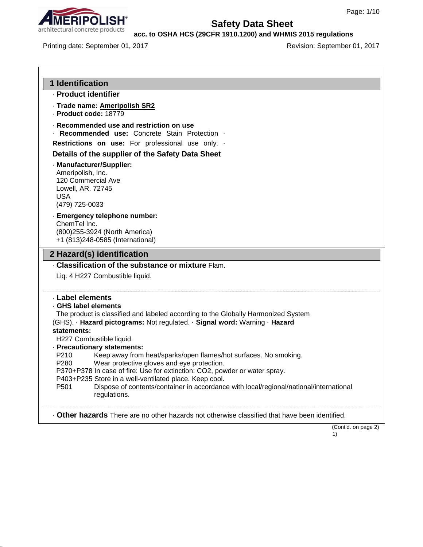

**acc. to OSHA HCS (29CFR 1910.1200) and WHMIS 2015 regulations**

Printing date: September 01, 2017 <br>
Revision: September 01, 2017

| 1 Identification                                                                             |                                                                                                                                                                                                                                                                                                                                              |
|----------------------------------------------------------------------------------------------|----------------------------------------------------------------------------------------------------------------------------------------------------------------------------------------------------------------------------------------------------------------------------------------------------------------------------------------------|
| - Product identifier                                                                         |                                                                                                                                                                                                                                                                                                                                              |
| · Product code: 18779                                                                        | · Trade name: Ameripolish SR2                                                                                                                                                                                                                                                                                                                |
|                                                                                              | Recommended use and restriction on use<br>Recommended use: Concrete Stain Protection .                                                                                                                                                                                                                                                       |
|                                                                                              | Restrictions on use: For professional use only. .                                                                                                                                                                                                                                                                                            |
|                                                                                              | Details of the supplier of the Safety Data Sheet                                                                                                                                                                                                                                                                                             |
| Ameripolish, Inc.<br>120 Commercial Ave<br>Lowell, AR. 72745<br><b>USA</b><br>(479) 725-0033 | - Manufacturer/Supplier:                                                                                                                                                                                                                                                                                                                     |
| ChemTel Inc.                                                                                 | · Emergency telephone number:<br>(800) 255-3924 (North America)<br>+1 (813)248-0585 (International)                                                                                                                                                                                                                                          |
|                                                                                              | 2 Hazard(s) identification                                                                                                                                                                                                                                                                                                                   |
|                                                                                              | . Classification of the substance or mixture Flam.                                                                                                                                                                                                                                                                                           |
|                                                                                              | Liq. 4 H227 Combustible liquid.                                                                                                                                                                                                                                                                                                              |
| · Label elements<br>· GHS label elements<br>statements:<br>P210                              | The product is classified and labeled according to the Globally Harmonized System<br>(GHS). · Hazard pictograms: Not regulated. · Signal word: Warning · Hazard<br>H227 Combustible liquid.<br>· Precautionary statements:<br>Keep away from heat/sparks/open flames/hot surfaces. No smoking.<br>Wear protective gloves and eye protection. |
| P280<br>P <sub>501</sub>                                                                     | P370+P378 In case of fire: Use for extinction: CO2, powder or water spray.<br>P403+P235 Store in a well-ventilated place. Keep cool.<br>Dispose of contents/container in accordance with local/regional/national/international<br>regulations.                                                                                               |
|                                                                                              | . Other hazards There are no other hazards not otherwise classified that have been identified.                                                                                                                                                                                                                                               |

 $\ddot{1}$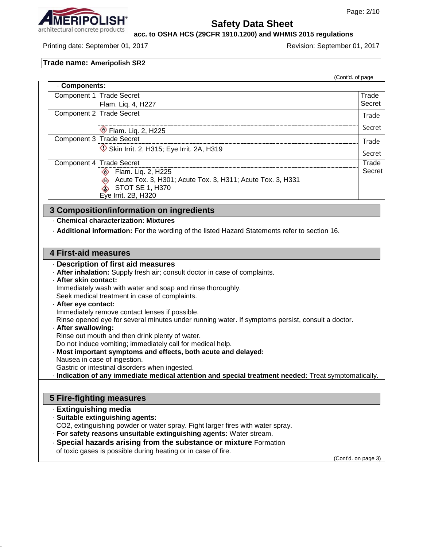

**acc. to OSHA HCS (29CFR 1910.1200) and WHMIS 2015 regulations**

Printing date: September 01, 2017 **Revision: September 01, 2017** Revision: September 01, 2017

## **Trade name: Ameripolish SR2**

|                                                                                                      |                                                                                                                                                            | (Cont'd. of page    |  |  |  |
|------------------------------------------------------------------------------------------------------|------------------------------------------------------------------------------------------------------------------------------------------------------------|---------------------|--|--|--|
| Components:                                                                                          |                                                                                                                                                            |                     |  |  |  |
| Component 1                                                                                          | <b>Trade Secret</b>                                                                                                                                        | Trade               |  |  |  |
|                                                                                                      | Flam. Liq. 4, H227                                                                                                                                         | Secret              |  |  |  |
| Component 2                                                                                          | <b>Trade Secret</b>                                                                                                                                        | Trade               |  |  |  |
|                                                                                                      | Flam. Liq. 2, H225                                                                                                                                         | Secret              |  |  |  |
| Component 3                                                                                          | <b>Trade Secret</b>                                                                                                                                        | Trade               |  |  |  |
|                                                                                                      | $\Diamond$ Skin Irrit. 2, H315; Eye Irrit. 2A, H319                                                                                                        | Secret              |  |  |  |
| Component 4                                                                                          | <b>Trade Secret</b>                                                                                                                                        | Trade               |  |  |  |
|                                                                                                      | <b>Elam. Lig. 2, H225</b><br>Acute Tox. 3, H301; Acute Tox. 3, H311; Acute Tox. 3, H331<br>$\diamondsuit$<br><b>STOT SE 1, H370</b><br>Eye Irrit. 2B, H320 | Secret              |  |  |  |
|                                                                                                      | 3 Composition/information on ingredients                                                                                                                   |                     |  |  |  |
|                                                                                                      | <b>Chemical characterization: Mixtures</b>                                                                                                                 |                     |  |  |  |
|                                                                                                      | - Additional information: For the wording of the listed Hazard Statements refer to section 16.                                                             |                     |  |  |  |
|                                                                                                      |                                                                                                                                                            |                     |  |  |  |
| <b>4 First-aid measures</b>                                                                          |                                                                                                                                                            |                     |  |  |  |
|                                                                                                      | Description of first aid measures                                                                                                                          |                     |  |  |  |
|                                                                                                      | - After inhalation: Supply fresh air; consult doctor in case of complaints.                                                                                |                     |  |  |  |
|                                                                                                      | · After skin contact:                                                                                                                                      |                     |  |  |  |
|                                                                                                      | Immediately wash with water and soap and rinse thoroughly.                                                                                                 |                     |  |  |  |
| · After eye contact:                                                                                 | Seek medical treatment in case of complaints.                                                                                                              |                     |  |  |  |
|                                                                                                      |                                                                                                                                                            |                     |  |  |  |
|                                                                                                      | Immediately remove contact lenses if possible.<br>Rinse opened eye for several minutes under running water. If symptoms persist, consult a doctor.         |                     |  |  |  |
|                                                                                                      | · After swallowing:                                                                                                                                        |                     |  |  |  |
|                                                                                                      | Rinse out mouth and then drink plenty of water.                                                                                                            |                     |  |  |  |
|                                                                                                      | Do not induce vomiting; immediately call for medical help.                                                                                                 |                     |  |  |  |
|                                                                                                      | · Most important symptoms and effects, both acute and delayed:                                                                                             |                     |  |  |  |
| Nausea in case of ingestion.<br>Gastric or intestinal disorders when ingested.                       |                                                                                                                                                            |                     |  |  |  |
| - Indication of any immediate medical attention and special treatment needed: Treat symptomatically. |                                                                                                                                                            |                     |  |  |  |
|                                                                                                      |                                                                                                                                                            |                     |  |  |  |
|                                                                                                      | <b>5 Fire-fighting measures</b>                                                                                                                            |                     |  |  |  |
| · Extinguishing media                                                                                |                                                                                                                                                            |                     |  |  |  |
|                                                                                                      | · Suitable extinguishing agents:                                                                                                                           |                     |  |  |  |
|                                                                                                      | CO2, extinguishing powder or water spray. Fight larger fires with water spray.                                                                             |                     |  |  |  |
|                                                                                                      | · For safety reasons unsuitable extinguishing agents: Water stream.                                                                                        |                     |  |  |  |
| · Special hazards arising from the substance or mixture Formation                                    |                                                                                                                                                            |                     |  |  |  |
|                                                                                                      | of toxic gases is possible during heating or in case of fire.                                                                                              |                     |  |  |  |
|                                                                                                      |                                                                                                                                                            | (Cont'd. on page 3) |  |  |  |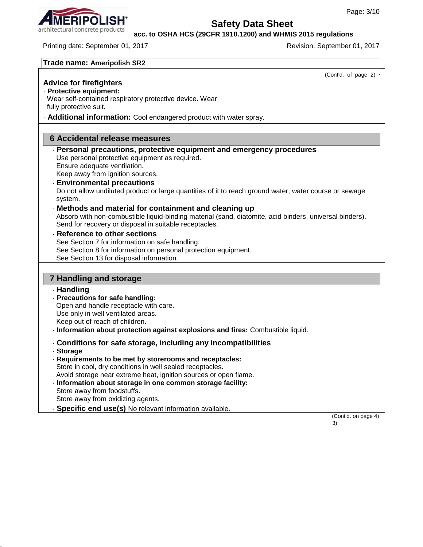#### **acc. to OSHA HCS (29CFR 1910.1200) and WHMIS 2015 regulations**

Printing date: September 01, 2017 **Revision: September 01, 2017** Revision: September 01, 2017

| Trade name: Ameripolish SR2 |  |  |  |  |  |
|-----------------------------|--|--|--|--|--|
|-----------------------------|--|--|--|--|--|

| TIQUE HANIE. MIIENPUISII JNZ                                                                                                                                      |                             |
|-------------------------------------------------------------------------------------------------------------------------------------------------------------------|-----------------------------|
|                                                                                                                                                                   | (Cont'd. of page 2) $\cdot$ |
| <b>Advice for firefighters</b>                                                                                                                                    |                             |
| · Protective equipment:<br>Wear self-contained respiratory protective device. Wear                                                                                |                             |
| fully protective suit.                                                                                                                                            |                             |
| - Additional information: Cool endangered product with water spray.                                                                                               |                             |
|                                                                                                                                                                   |                             |
| <b>6 Accidental release measures</b>                                                                                                                              |                             |
| - Personal precautions, protective equipment and emergency procedures                                                                                             |                             |
| Use personal protective equipment as required.                                                                                                                    |                             |
| Ensure adequate ventilation.<br>Keep away from ignition sources.                                                                                                  |                             |
| <b>Environmental precautions</b>                                                                                                                                  |                             |
| Do not allow undiluted product or large quantities of it to reach ground water, water course or sewage                                                            |                             |
| system.                                                                                                                                                           |                             |
| Methods and material for containment and cleaning up                                                                                                              |                             |
| Absorb with non-combustible liquid-binding material (sand, diatomite, acid binders, universal binders).<br>Send for recovery or disposal in suitable receptacles. |                             |
| Reference to other sections                                                                                                                                       |                             |
| See Section 7 for information on safe handling.                                                                                                                   |                             |
| See Section 8 for information on personal protection equipment.                                                                                                   |                             |
| See Section 13 for disposal information.                                                                                                                          |                             |
|                                                                                                                                                                   |                             |
| <b>7 Handling and storage</b>                                                                                                                                     |                             |
| · Handling                                                                                                                                                        |                             |
| - Precautions for safe handling:<br>Open and handle receptacle with care.                                                                                         |                             |
| Use only in well ventilated areas.                                                                                                                                |                             |
| Keep out of reach of children.                                                                                                                                    |                             |
| - Information about protection against explosions and fires: Combustible liquid.                                                                                  |                             |
| Conditions for safe storage, including any incompatibilities                                                                                                      |                             |
| · Storage                                                                                                                                                         |                             |
| Requirements to be met by storerooms and receptacles:<br>Store in cool, dry conditions in well sealed receptacles.                                                |                             |
| Avoid storage near extreme heat, ignition sources or open flame.                                                                                                  |                             |
| · Information about storage in one common storage facility:                                                                                                       |                             |
| Store away from foodstuffs.                                                                                                                                       |                             |
| Store away from oxidizing agents.                                                                                                                                 |                             |
| · Specific end use(s) No relevant information available.                                                                                                          | (Cont'd. on page 4)         |
|                                                                                                                                                                   | 3)                          |

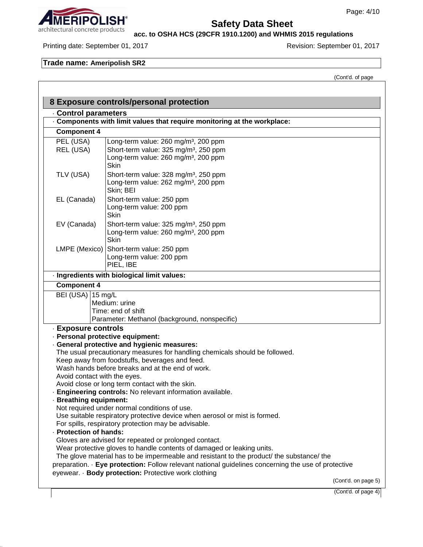# architectural concrete products

# **Safety Data Sheet**

**acc. to OSHA HCS (29CFR 1910.1200) and WHMIS 2015 regulations**

#### Printing date: September 01, 2017 **Revision: September 01, 2017** Revision: September 01, 2017

### **Trade name: Ameripolish SR2**

(Cont'd. of page

|                              | 8 Exposure controls/personal protection                                                                                            |
|------------------------------|------------------------------------------------------------------------------------------------------------------------------------|
| Control parameters           |                                                                                                                                    |
|                              | Components with limit values that require monitoring at the workplace:                                                             |
| <b>Component 4</b>           |                                                                                                                                    |
| PEL (USA)                    | Long-term value: 260 mg/m <sup>3</sup> , 200 ppm                                                                                   |
| REL (USA)                    | Short-term value: 325 mg/m <sup>3</sup> , 250 ppm                                                                                  |
|                              | Long-term value: 260 mg/m <sup>3</sup> , 200 ppm<br>Skin                                                                           |
| TLV (USA)                    | Short-term value: 328 mg/m <sup>3</sup> , 250 ppm                                                                                  |
|                              | Long-term value: 262 mg/m <sup>3</sup> , 200 ppm                                                                                   |
|                              | Skin; BEI                                                                                                                          |
| EL (Canada)                  | Short-term value: 250 ppm                                                                                                          |
|                              | Long-term value: 200 ppm                                                                                                           |
|                              | <b>Skin</b>                                                                                                                        |
| EV (Canada)                  | Short-term value: 325 mg/m <sup>3</sup> , 250 ppm                                                                                  |
|                              | Long-term value: 260 mg/m <sup>3</sup> , 200 ppm                                                                                   |
|                              | Skin<br>Short-term value: 250 ppm                                                                                                  |
| LMPE (Mexico)                | Long-term value: 200 ppm                                                                                                           |
|                              | PIEL, IBE                                                                                                                          |
|                              | · Ingredients with biological limit values:                                                                                        |
| <b>Component 4</b>           |                                                                                                                                    |
| BEI (USA) 15 mg/L            |                                                                                                                                    |
|                              | Medium: urine                                                                                                                      |
|                              | Time: end of shift                                                                                                                 |
|                              | Parameter: Methanol (background, nonspecific)                                                                                      |
| - Exposure controls          |                                                                                                                                    |
|                              | · Personal protective equipment:                                                                                                   |
|                              | · General protective and hygienic measures:                                                                                        |
|                              | The usual precautionary measures for handling chemicals should be followed.<br>Keep away from foodstuffs, beverages and feed.      |
|                              | Wash hands before breaks and at the end of work.                                                                                   |
| Avoid contact with the eyes. |                                                                                                                                    |
|                              | Avoid close or long term contact with the skin.                                                                                    |
|                              | Engineering controls: No relevant information available.                                                                           |
| <b>Breathing equipment:</b>  |                                                                                                                                    |
|                              | Not required under normal conditions of use.                                                                                       |
|                              | Use suitable respiratory protective device when aerosol or mist is formed.<br>For spills, respiratory protection may be advisable. |
| · Protection of hands:       |                                                                                                                                    |
|                              | Gloves are advised for repeated or prolonged contact.                                                                              |
|                              | Wear protective gloves to handle contents of damaged or leaking units.                                                             |
|                              | The glove material has to be impermeable and resistant to the product/ the substance/ the                                          |
|                              | preparation. · Eye protection: Follow relevant national guidelines concerning the use of protective                                |
|                              | eyewear. · Body protection: Protective work clothing                                                                               |
|                              | (Cont'd. on page 5)                                                                                                                |

(Cont'd. of page 4)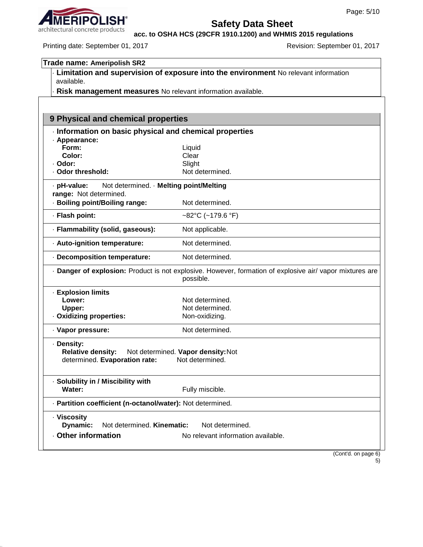# architectural concrete products

# **Safety Data Sheet**

**acc. to OSHA HCS (29CFR 1910.1200) and WHMIS 2015 regulations**

Printing date: September 01, 2017 **Revision: September 01, 2017** Revision: September 01, 2017

| <b>Trade name: Ameripolish SR2</b>                                                                                    |                                                                                     |  |  |
|-----------------------------------------------------------------------------------------------------------------------|-------------------------------------------------------------------------------------|--|--|
|                                                                                                                       | Limitation and supervision of exposure into the environment No relevant information |  |  |
| available.                                                                                                            |                                                                                     |  |  |
| Risk management measures No relevant information available.                                                           |                                                                                     |  |  |
|                                                                                                                       |                                                                                     |  |  |
| 9 Physical and chemical properties                                                                                    |                                                                                     |  |  |
| Information on basic physical and chemical properties                                                                 |                                                                                     |  |  |
| · Appearance:                                                                                                         |                                                                                     |  |  |
| Form:                                                                                                                 | Liquid                                                                              |  |  |
| Color:                                                                                                                | Clear                                                                               |  |  |
| · Odor:                                                                                                               | Slight                                                                              |  |  |
| · Odor threshold:                                                                                                     | Not determined.                                                                     |  |  |
| Not determined. · Melting point/Melting<br>· pH-value:                                                                |                                                                                     |  |  |
| range: Not determined.                                                                                                |                                                                                     |  |  |
| · Boiling point/Boiling range:                                                                                        | Not determined.                                                                     |  |  |
| · Flash point:                                                                                                        | ~82°C (~179.6 °F)                                                                   |  |  |
| · Flammability (solid, gaseous):<br>Not applicable.                                                                   |                                                                                     |  |  |
| - Auto-ignition temperature:                                                                                          | Not determined.                                                                     |  |  |
| - Decomposition temperature:                                                                                          | Not determined.                                                                     |  |  |
| · Danger of explosion: Product is not explosive. However, formation of explosive air/ vapor mixtures are<br>possible. |                                                                                     |  |  |
| - Explosion limits                                                                                                    |                                                                                     |  |  |
| Lower:                                                                                                                | Not determined.                                                                     |  |  |
| Upper:                                                                                                                | Not determined.                                                                     |  |  |
| · Oxidizing properties:                                                                                               | Non-oxidizing.                                                                      |  |  |
| · Vapor pressure:                                                                                                     | Not determined.                                                                     |  |  |
| · Density:<br><b>Relative density:</b><br>determined. Evaporation rate:                                               | Not determined. Vapor density: Not<br>Not determined.                               |  |  |
| · Solubility in / Miscibility with<br>Water:                                                                          |                                                                                     |  |  |
|                                                                                                                       | Fully miscible.                                                                     |  |  |
| - Partition coefficient (n-octanol/water): Not determined.                                                            |                                                                                     |  |  |
| · Viscosity                                                                                                           |                                                                                     |  |  |
| Dynamic:<br>Not determined. Kinematic:                                                                                | Not determined.                                                                     |  |  |
| <b>Other information</b>                                                                                              | No relevant information available.                                                  |  |  |

(Cont'd. on page 6) 5)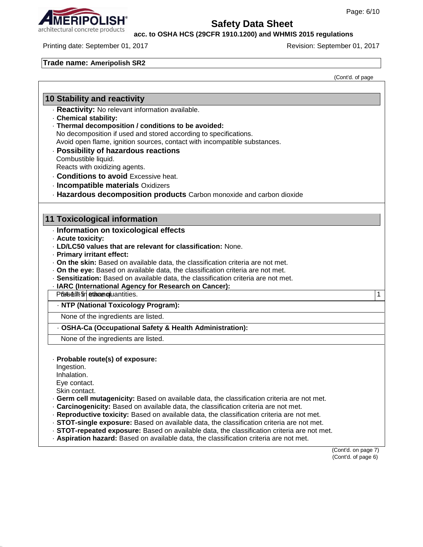**acc. to OSHA HCS (29CFR 1910.1200) and WHMIS 2015 regulations**

Printing date: September 01, 2017 **Revision: September 01, 2017** Revision: September 01, 2017

#### **Trade name: Ameripolish SR2**

(Cont'd. of page

### **10 Stability and reactivity**

· **Reactivity:** No relevant information available.

- · **Chemical stability:**
- · **Thermal decomposition / conditions to be avoided:** No decomposition if used and stored according to specifications. Avoid open flame, ignition sources, contact with incompatible substances. · **Possibility of hazardous reactions**
- Combustible liquid.

Reacts with oxidizing agents.

- · **Conditions to avoid** Excessive heat.
- · **Incompatible materials** Oxidizers
- · **Hazardous decomposition products** Carbon monoxide and carbon dioxide

#### **11 Toxicological information**

- · **Information on toxicological effects**
- · **Acute toxicity:**
- · **LD/LC50 values that are relevant for classification:** None.
- · **Primary irritant effect:**
- · **On the skin:** Based on available data, the classification criteria are not met.
- · **On the eye:** Based on available data, the classification criteria are not met.
- · **Sensitization:** Based on available data, the classification criteria are not met.
- · **IARC (International Agency for Research on Cancer):**
- Present and the second in the second in the second in the second in the second in the second in the second in the second in the second in the second in the second in the second in the second in the second in the second in
- · **NTP (National Toxicology Program):**

None of the ingredients are listed.

· **OSHA-Ca (Occupational Safety & Health Administration):**

None of the ingredients are listed.

#### · **Probable route(s) of exposure:**

Ingestion.

Inhalation.

Eye contact.

Skin contact.

- · **Germ cell mutagenicity:** Based on available data, the classification criteria are not met.
- · **Carcinogenicity:** Based on available data, the classification criteria are not met.
- · **Reproductive toxicity:** Based on available data, the classification criteria are not met.
- · **STOT-single exposure:** Based on available data, the classification criteria are not met.
- · **STOT-repeated exposure:** Based on available data, the classification criteria are not met.
- · **Aspiration hazard:** Based on available data, the classification criteria are not met.

(Cont'd. on page 7) (Cont'd. of page 6)

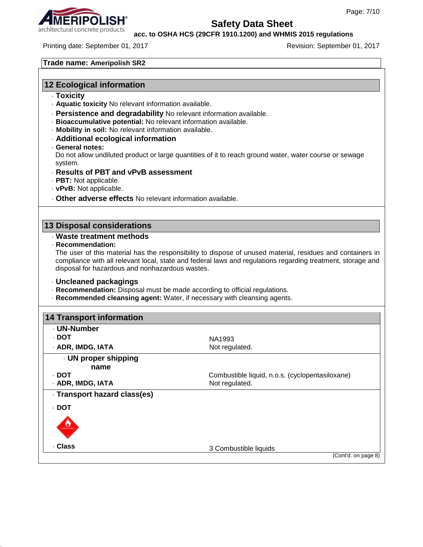

**acc. to OSHA HCS (29CFR 1910.1200) and WHMIS 2015 regulations**

Printing date: September 01, 2017 **Revision: September 01, 2017** Revision: September 01, 2017

**Trade name: Ameripolish SR2**

# **12 Ecological information**

- · **Toxicity**
- · **Aquatic toxicity** No relevant information available.
- · **Persistence and degradability** No relevant information available.
- · **Bioaccumulative potential:** No relevant information available.
- · **Mobility in soil:** No relevant information available.
- · **Additional ecological information**
- · **General notes:**

Do not allow undiluted product or large quantities of it to reach ground water, water course or sewage system.

- · **Results of PBT and vPvB assessment**
- · **PBT:** Not applicable.
- · **vPvB:** Not applicable.
- · **Other adverse effects** No relevant information available.

#### **13 Disposal considerations**

#### · **Waste treatment methods**

· **Recommendation:**

The user of this material has the responsibility to dispose of unused material, residues and containers in compliance with all relevant local, state and federal laws and regulations regarding treatment, storage and disposal for hazardous and nonhazardous wastes.

#### · **Uncleaned packagings**

- · **Recommendation:** Disposal must be made according to official regulations.
- · **Recommended cleansing agent:** Water, if necessary with cleansing agents.

| <b>14 Transport information</b> |                                                 |
|---------------------------------|-------------------------------------------------|
| · UN-Number                     |                                                 |
| · DOT                           | NA1993                                          |
| · ADR, IMDG, IATA               | Not regulated.                                  |
| . UN proper shipping            |                                                 |
| name                            |                                                 |
| · DOT                           | Combustible liquid, n.o.s. (cyclopentasiloxane) |
| · ADR, IMDG, IATA               | Not regulated.                                  |
| · Transport hazard class(es)    |                                                 |
| · DOT                           |                                                 |
| COMBUSTIBL                      |                                                 |
| . Class                         | 3 Combustible liquids                           |
|                                 | (Cont'd. on page 8)                             |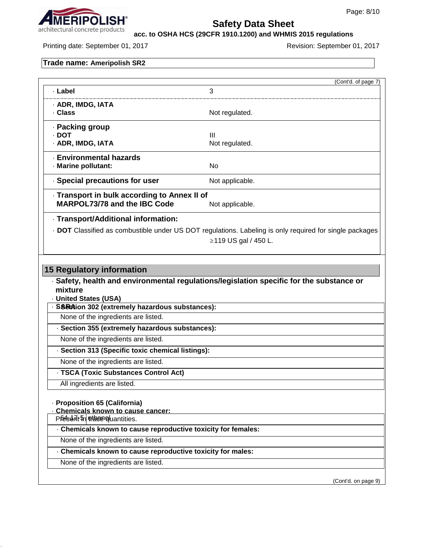

**acc. to OSHA HCS (29CFR 1910.1200) and WHMIS 2015 regulations**

Printing date: September 01, 2017 **Revision: September 01, 2017** Revision: September 01, 2017

# **Trade name: Ameripolish SR2**

|                                                                                                    | (Cont'd. of page 7)                                                                                     |
|----------------------------------------------------------------------------------------------------|---------------------------------------------------------------------------------------------------------|
| · Label                                                                                            | 3                                                                                                       |
| · ADR, IMDG, IATA                                                                                  |                                                                                                         |
| . Class                                                                                            | Not regulated.                                                                                          |
| · Packing group                                                                                    |                                                                                                         |
| · DOT<br>· ADR, IMDG, IATA                                                                         | Ш<br>Not regulated.                                                                                     |
| <b>Environmental hazards</b>                                                                       |                                                                                                         |
| · Marine pollutant:                                                                                | No                                                                                                      |
| Special precautions for user                                                                       | Not applicable.                                                                                         |
| - Transport in bulk according to Annex II of                                                       |                                                                                                         |
| <b>MARPOL73/78 and the IBC Code</b>                                                                | Not applicable.                                                                                         |
| - Transport/Additional information:                                                                |                                                                                                         |
|                                                                                                    | . DOT Classified as combustible under US DOT regulations. Labeling is only required for single packages |
|                                                                                                    | ≥119 US gal / 450 L.                                                                                    |
|                                                                                                    |                                                                                                         |
| <b>15 Regulatory information</b>                                                                   | · Safety, health and environmental regulations/legislation specific for the substance or                |
| mixture<br>· United States (USA)                                                                   |                                                                                                         |
| · SSEGAion 302 (extremely hazardous substances):                                                   |                                                                                                         |
| None of the ingredients are listed.                                                                |                                                                                                         |
| · Section 355 (extremely hazardous substances):                                                    |                                                                                                         |
| None of the ingredients are listed.                                                                |                                                                                                         |
| · Section 313 (Specific toxic chemical listings):                                                  |                                                                                                         |
| None of the ingredients are listed.                                                                |                                                                                                         |
| - TSCA (Toxic Substances Control Act)                                                              |                                                                                                         |
| All ingredients are listed.                                                                        |                                                                                                         |
| - Proposition 65 (California)                                                                      |                                                                                                         |
| Chemicals known to cause cancer:                                                                   |                                                                                                         |
| Pfeselnt in ethesen quantities.                                                                    |                                                                                                         |
| Chemicals known to cause reproductive toxicity for females:                                        |                                                                                                         |
| None of the ingredients are listed.                                                                |                                                                                                         |
| . Chemicals known to cause reproductive toxicity for males:<br>None of the ingredients are listed. |                                                                                                         |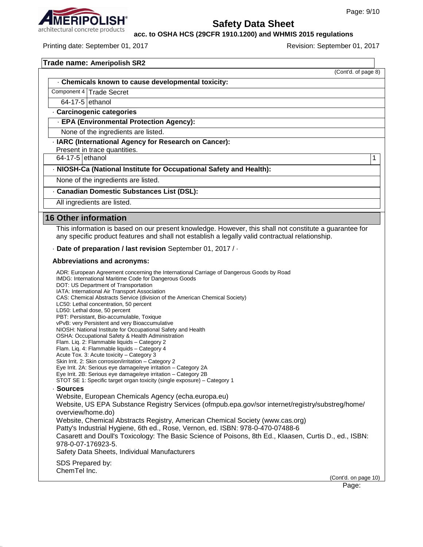(Cont'd. of page 8)



### **Safety Data Sheet**

**acc. to OSHA HCS (29CFR 1910.1200) and WHMIS 2015 regulations**

Printing date: September 01, 2017 **Revision: September 01, 2017** Revision: September 01, 2017

| Trade name: Ameripolish SR2 |  |
|-----------------------------|--|
|                             |  |

· **Chemicals known to cause developmental toxicity:**

Component 4 | Trade Secret

 $64-17-5$  ethanol

· **Carcinogenic categories**

· **EPA (Environmental Protection Agency):**

None of the ingredients are listed.

· **IARC (International Agency for Research on Cancer):**

Present in trace quantities.

64-17-5 ethanol 1

· **NIOSH-Ca (National Institute for Occupational Safety and Health):**

None of the ingredients are listed.

· **Canadian Domestic Substances List (DSL):**

All ingredients are listed.

#### **16 Other information**

This information is based on our present knowledge. However, this shall not constitute a guarantee for any specific product features and shall not establish a legally valid contractual relationship.

· **Date of preparation / last revision** September 01, 2017 / ·

#### **Abbreviations and acronyms:**

ADR: European Agreement concerning the International Carriage of Dangerous Goods by Road IMDG: International Maritime Code for Dangerous Goods DOT: US Department of Transportation IATA: International Air Transport Association CAS: Chemical Abstracts Service (division of the American Chemical Society) LC50: Lethal concentration, 50 percent LD50: Lethal dose, 50 percent PBT: Persistant, Bio-accumulable, Toxique vPvB: very Persistent and very Bioaccumulative NIOSH: National Institute for Occupational Safety and Health OSHA: Occupational Safety & Health Administration Flam. Liq. 2: Flammable liquids – Category 2 Flam. Liq. 4: Flammable liquids – Category 4 Acute Tox. 3: Acute toxicity – Category 3 Skin Irrit. 2: Skin corrosion/irritation – Category 2 Eye Irrit. 2A: Serious eye damage/eye irritation – Category 2A Eye Irrit. 2B: Serious eye damage/eye irritation – Category 2B STOT SE 1: Specific target organ toxicity (single exposure) – Category 1 · **Sources** Website, European Chemicals Agency (echa.europa.eu) Website, US EPA Substance Registry Services (ofmpub.epa.gov/sor internet/registry/substreg/home/ overview/home.do) Website, Chemical Abstracts Registry, American Chemical Society (www.cas.org) Patty's Industrial Hygiene, 6th ed., Rose, Vernon, ed. ISBN: 978-0-470-07488-6 Casarett and Doull's Toxicology: The Basic Science of Poisons, 8th Ed., Klaasen, Curtis D., ed., ISBN: 978-0-07-176923-5. Safety Data Sheets, Individual Manufacturers SDS Prepared by: ChemTel Inc. (Cont'd. on page 10)